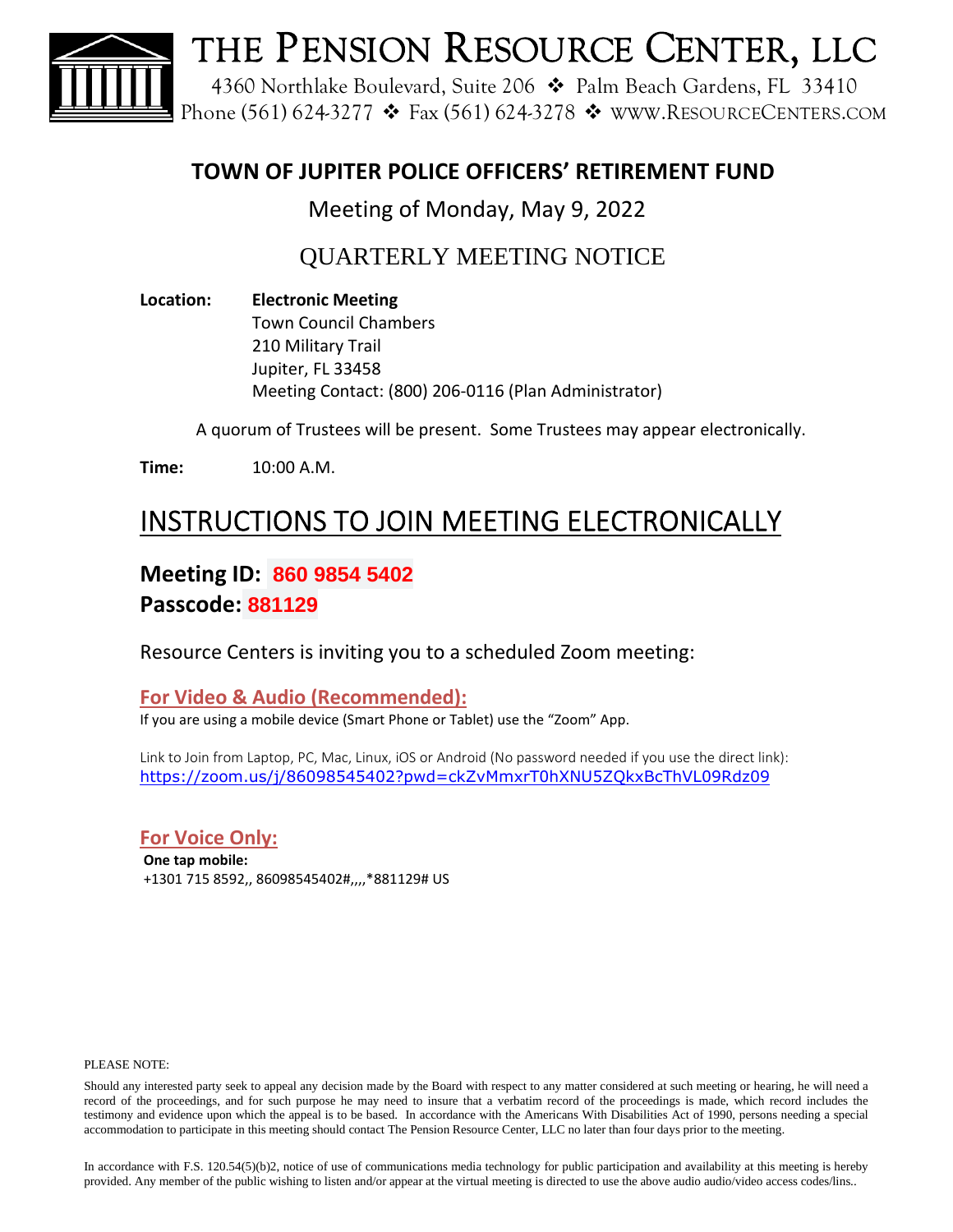

### **TOWN OF JUPITER POLICE OFFICERS' RETIREMENT FUND**

Meeting of Monday, May 9, 2022

QUARTERLY MEETING NOTICE

**Location: Electronic Meeting** Town Council Chambers 210 Military Trail Jupiter, FL 33458 Meeting Contact: (800) 206-0116 (Plan Administrator)

A quorum of Trustees will be present. Some Trustees may appear electronically.

**Time:** 10:00 A.M.

# INSTRUCTIONS TO JOIN MEETING ELECTRONICALLY

**Meeting ID: 860 9854 5402 Passcode: 881129**

Resource Centers is inviting you to a scheduled Zoom meeting:

**For Video & Audio (Recommended):**

If you are using a mobile device (Smart Phone or Tablet) use the "Zoom" App.

Link to Join from Laptop, PC, Mac, Linux, iOS or Android (No password needed if you use the direct link): https://zoom.us/j/86098545402?pwd=ckZvMmxrT0hXNU5ZQkxBcThVL09Rdz09

**For Voice Only:**

**One tap mobile:** +1301 715 8592,, 86098545402#,,,,\*881129# US

#### PLEASE NOTE:

Should any interested party seek to appeal any decision made by the Board with respect to any matter considered at such meeting or hearing, he will need a record of the proceedings, and for such purpose he may need to insure that a verbatim record of the proceedings is made, which record includes the testimony and evidence upon which the appeal is to be based. In accordance with the Americans With Disabilities Act of 1990, persons needing a special accommodation to participate in this meeting should contact The Pension Resource Center, LLC no later than four days prior to the meeting.

In accordance with F.S. 120.54(5)(b)2, notice of use of communications media technology for public participation and availability at this meeting is hereby provided. Any member of the public wishing to listen and/or appear at the virtual meeting is directed to use the above audio audio/video access codes/lins..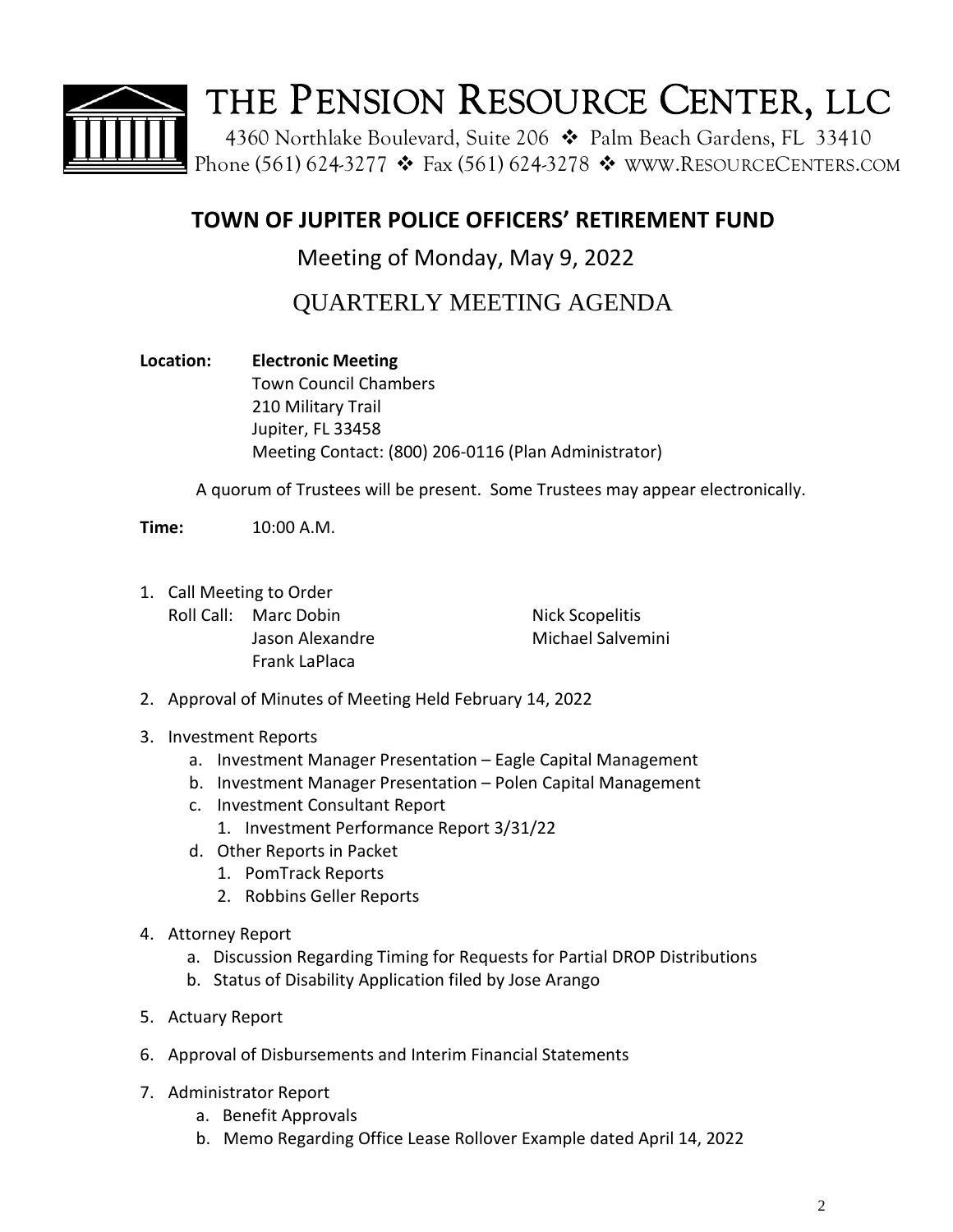

## **TOWN OF JUPITER POLICE OFFICERS' RETIREMENT FUND**

Meeting of Monday, May 9, 2022

QUARTERLY MEETING AGENDA

**Location: Electronic Meeting** Town Council Chambers 210 Military Trail Jupiter, FL 33458 Meeting Contact: (800) 206-0116 (Plan Administrator)

A quorum of Trustees will be present. Some Trustees may appear electronically.

**Time:** 10:00 A.M.

1. Call Meeting to Order Roll Call: Marc Dobin Nick Scopelitis Jason Alexandre Michael Salvemini Frank LaPlaca

2. Approval of Minutes of Meeting Held February 14, 2022

- 3. Investment Reports
	- a. Investment Manager Presentation Eagle Capital Management
	- b. Investment Manager Presentation Polen Capital Management
	- c. Investment Consultant Report
		- 1. Investment Performance Report 3/31/22
	- d. Other Reports in Packet
		- 1. PomTrack Reports
		- 2. Robbins Geller Reports
- 4. Attorney Report
	- a. Discussion Regarding Timing for Requests for Partial DROP Distributions
	- b. Status of Disability Application filed by Jose Arango
- 5. Actuary Report
- 6. Approval of Disbursements and Interim Financial Statements
- 7. Administrator Report
	- a. Benefit Approvals
	- b. Memo Regarding Office Lease Rollover Example dated April 14, 2022